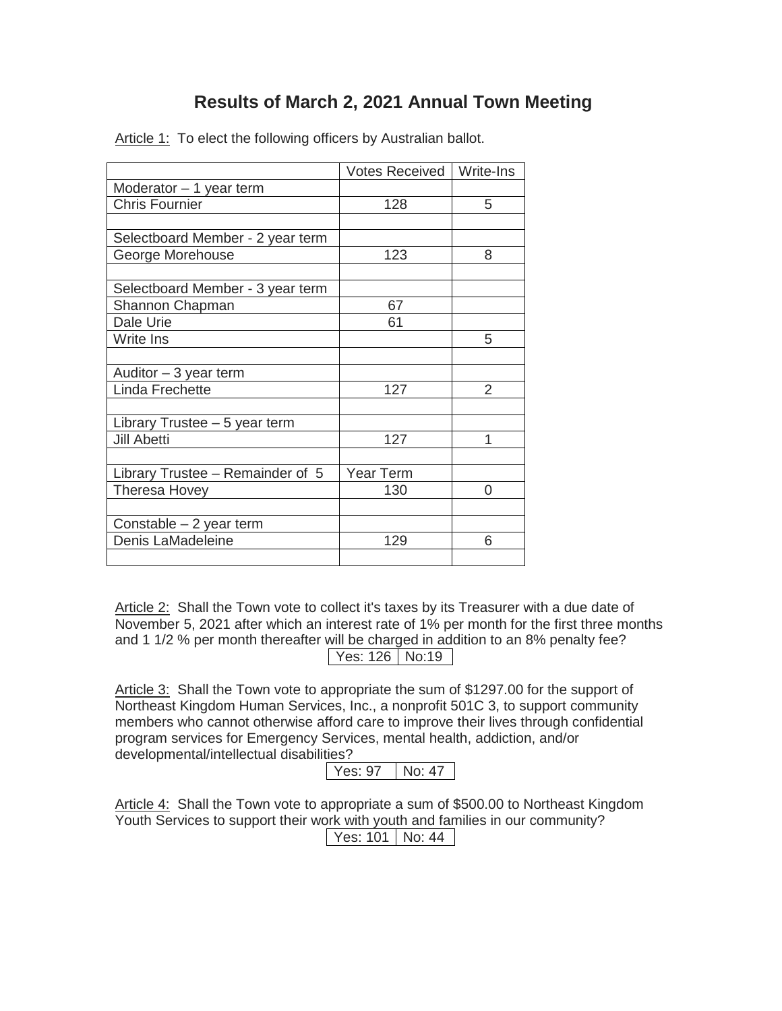## **Results of March 2, 2021 Annual Town Meeting**

|                                  | Votes Received   Write-Ins |   |
|----------------------------------|----------------------------|---|
| Moderator - 1 year term          |                            |   |
| <b>Chris Fournier</b>            | 128                        | 5 |
|                                  |                            |   |
| Selectboard Member - 2 year term |                            |   |
| George Morehouse                 | 123                        | 8 |
|                                  |                            |   |
| Selectboard Member - 3 year term |                            |   |
| Shannon Chapman                  | 67                         |   |
| Dale Urie                        | 61                         |   |
| Write Ins                        |                            | 5 |
|                                  |                            |   |
| Auditor $-3$ year term           |                            |   |
| Linda Frechette                  | 127                        | 2 |
|                                  |                            |   |
| Library Trustee - 5 year term    |                            |   |
| <b>Jill Abetti</b>               | 127                        | 1 |
|                                  |                            |   |
| Library Trustee - Remainder of 5 | Year Term                  |   |
| Theresa Hovey                    | 130                        | 0 |
|                                  |                            |   |
| Constable – 2 year term          |                            |   |
| Denis LaMadeleine                | 129                        | 6 |
|                                  |                            |   |

Article 1: To elect the following officers by Australian ballot.

Article 2: Shall the Town vote to collect it's taxes by its Treasurer with a due date of November 5, 2021 after which an interest rate of 1% per month for the first three months and 1 1/2 % per month thereafter will be charged in addition to an 8% penalty fee? Yes: 126 | No:19

Article 3: Shall the Town vote to appropriate the sum of \$1297.00 for the support of Northeast Kingdom Human Services, Inc., a nonprofit 501C 3, to support community members who cannot otherwise afford care to improve their lives through confidential program services for Emergency Services, mental health, addiction, and/or developmental/intellectual disabilities?

 $Yes: 97$  No: 47

Article 4: Shall the Town vote to appropriate a sum of \$500.00 to Northeast Kingdom Youth Services to support their work with youth and families in our community? Yes: 101 | No: 44